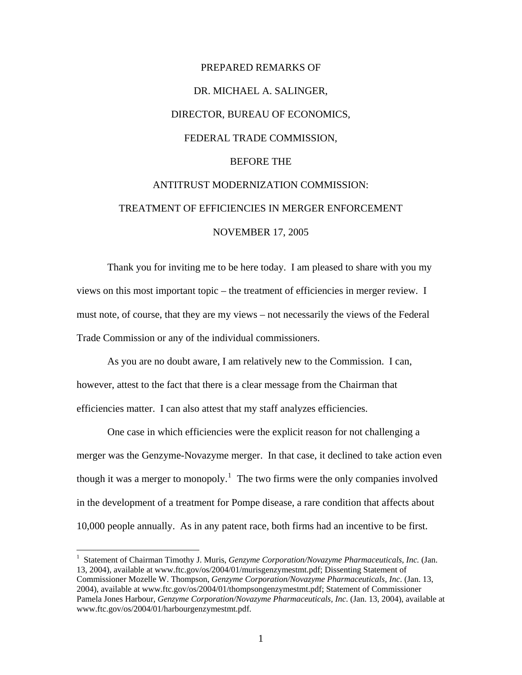## PREPARED REMARKS OF DR. MICHAEL A. SALINGER, DIRECTOR, BUREAU OF ECONOMICS, FEDERAL TRADE COMMISSION, BEFORE THE ANTITRUST MODERNIZATION COMMISSION: TREATMENT OF EFFICIENCIES IN MERGER ENFORCEMENT NOVEMBER 17, 2005

Thank you for inviting me to be here today. I am pleased to share with you my views on this most important topic – the treatment of efficiencies in merger review. I must note, of course, that they are my views – not necessarily the views of the Federal Trade Commission or any of the individual commissioners.

 As you are no doubt aware, I am relatively new to the Commission. I can, however, attest to the fact that there is a clear message from the Chairman that efficiencies matter. I can also attest that my staff analyzes efficiencies.

One case in which efficiencies were the explicit reason for not challenging a merger was the Genzyme-Novazyme merger. In that case, it declined to take action even though it was a merger to monopoly.<sup>[1](#page-0-0)</sup> The two firms were the only companies involved in the development of a treatment for Pompe disease, a rare condition that affects about 10,000 people annually. As in any patent race, both firms had an incentive to be first.

 $\overline{a}$ 

<span id="page-0-0"></span><sup>&</sup>lt;sup>1</sup> Statement of Chairman Timothy J. Muris, *Genzyme Corporation/Novazyme Pharmaceuticals, Inc.* (Jan. 13, 2004), available at [www.ftc.gov/os/2004/01/murisgenzymestmt.pdf;](http://www.ftc.gov/os/2004/01/murisgenzymestmt.pdf) Dissenting Statement of Commissioner Mozelle W. Thompson, *Genzyme Corporation/Novazyme Pharmaceuticals, Inc*. (Jan. 13, 2004), available at [www.ftc.gov/os/2004/01/thompsongenzymestmt.pdf;](http://www.ftc.gov/os/2004/01/thompsongenzymestmt.pdf) Statement of Commissioner Pamela Jones Harbour, *Genzyme Corporation/Novazyme Pharmaceuticals, Inc*. (Jan. 13, 2004), available at [www.ftc.gov/os/2004/01/harbourgenzymestmt.pdf.](http://www.ftc.gov/os/2004/01/harbourgenzymestmt.pdf)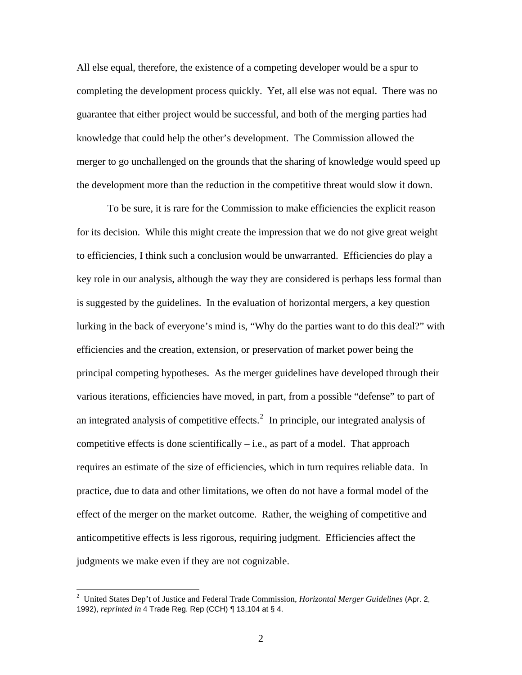All else equal, therefore, the existence of a competing developer would be a spur to completing the development process quickly. Yet, all else was not equal. There was no guarantee that either project would be successful, and both of the merging parties had knowledge that could help the other's development. The Commission allowed the merger to go unchallenged on the grounds that the sharing of knowledge would speed up the development more than the reduction in the competitive threat would slow it down.

To be sure, it is rare for the Commission to make efficiencies the explicit reason for its decision. While this might create the impression that we do not give great weight to efficiencies, I think such a conclusion would be unwarranted. Efficiencies do play a key role in our analysis, although the way they are considered is perhaps less formal than is suggested by the guidelines. In the evaluation of horizontal mergers, a key question lurking in the back of everyone's mind is, "Why do the parties want to do this deal?" with efficiencies and the creation, extension, or preservation of market power being the principal competing hypotheses. As the merger guidelines have developed through their various iterations, efficiencies have moved, in part, from a possible "defense" to part of an integrated analysis of competitive effects. $2$  In principle, our integrated analysis of competitive effects is done scientifically  $-$  i.e., as part of a model. That approach requires an estimate of the size of efficiencies, which in turn requires reliable data. In practice, due to data and other limitations, we often do not have a formal model of the effect of the merger on the market outcome. Rather, the weighing of competitive and anticompetitive effects is less rigorous, requiring judgment. Efficiencies affect the judgments we make even if they are not cognizable.

 $\overline{a}$ 

<span id="page-1-0"></span><sup>2</sup> United States Dep't of Justice and Federal Trade Commission, *Horizontal Merger Guidelines* (Apr. 2, 1992), *reprinted in* 4 Trade Reg. Rep (CCH) ¶ 13,104 at § 4.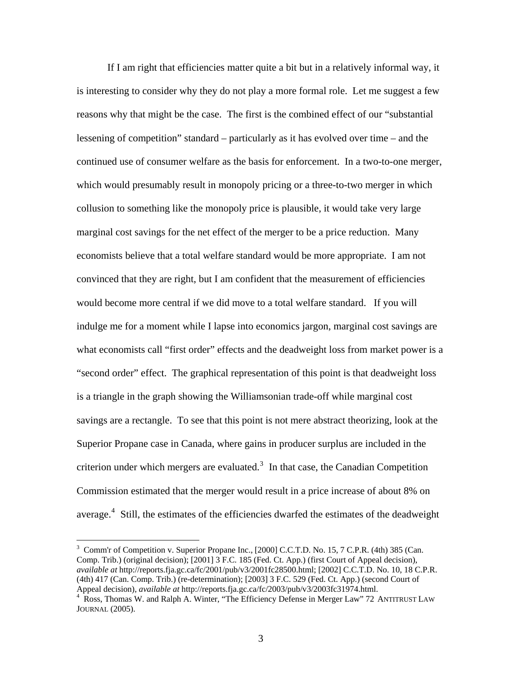If I am right that efficiencies matter quite a bit but in a relatively informal way, it is interesting to consider why they do not play a more formal role. Let me suggest a few reasons why that might be the case. The first is the combined effect of our "substantial lessening of competition" standard – particularly as it has evolved over time – and the continued use of consumer welfare as the basis for enforcement. In a two-to-one merger, which would presumably result in monopoly pricing or a three-to-two merger in which collusion to something like the monopoly price is plausible, it would take very large marginal cost savings for the net effect of the merger to be a price reduction. Many economists believe that a total welfare standard would be more appropriate. I am not convinced that they are right, but I am confident that the measurement of efficiencies would become more central if we did move to a total welfare standard. If you will indulge me for a moment while I lapse into economics jargon, marginal cost savings are what economists call "first order" effects and the deadweight loss from market power is a "second order" effect. The graphical representation of this point is that deadweight loss is a triangle in the graph showing the Williamsonian trade-off while marginal cost savings are a rectangle. To see that this point is not mere abstract theorizing, look at the Superior Propane case in Canada, where gains in producer surplus are included in the criterion under which mergers are evaluated. $3$  In that case, the Canadian Competition Commission estimated that the merger would result in a price increase of about 8% on average. $4$  Still, the estimates of the efficiencies dwarfed the estimates of the deadweight

 $\overline{a}$ 

<span id="page-2-0"></span><sup>&</sup>lt;sup>3</sup> Comm'r of Competition v. Superior Propane Inc., [2000] C.C.T.D. No. 15, 7 C.P.R. (4th) 385 (Can. Comp. Trib.) (original decision); [2001] 3 F.C. 185 (Fed. Ct. App.) (first Court of Appeal decision), *available at* http://reports.fja.gc.ca/fc/2001/pub/v3/2001fc28500.html; [2002] C.C.T.D. No. 10, 18 C.P.R. (4th) 417 (Can. Comp. Trib.) (re-determination); [2003] 3 F.C. 529 (Fed. Ct. App.) (second Court of Appeal decision), *available at* http://reports.fja.gc.ca/fc/2003/pub/v3/2003fc31974.html. 4

<span id="page-2-1"></span><sup>&</sup>lt;sup>4</sup> Ross, Thomas W. and Ralph A. Winter, "The Efficiency Defense in Merger Law" 72 ANTITRUST LAW JOURNAL (2005).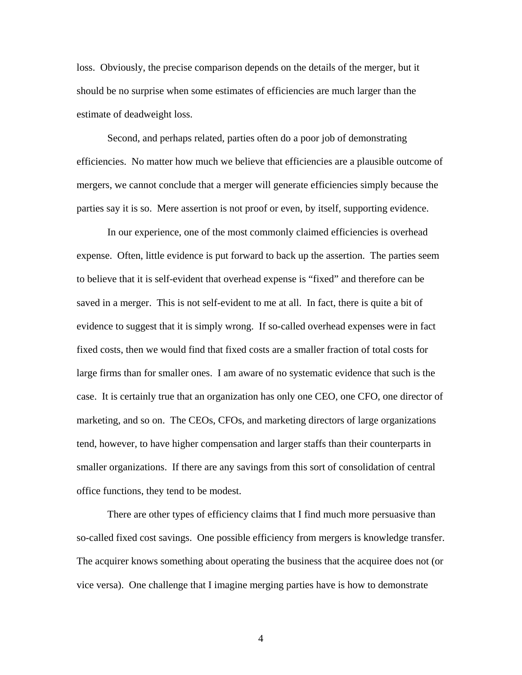loss. Obviously, the precise comparison depends on the details of the merger, but it should be no surprise when some estimates of efficiencies are much larger than the estimate of deadweight loss.

Second, and perhaps related, parties often do a poor job of demonstrating efficiencies. No matter how much we believe that efficiencies are a plausible outcome of mergers, we cannot conclude that a merger will generate efficiencies simply because the parties say it is so. Mere assertion is not proof or even, by itself, supporting evidence.

In our experience, one of the most commonly claimed efficiencies is overhead expense. Often, little evidence is put forward to back up the assertion. The parties seem to believe that it is self-evident that overhead expense is "fixed" and therefore can be saved in a merger. This is not self-evident to me at all. In fact, there is quite a bit of evidence to suggest that it is simply wrong. If so-called overhead expenses were in fact fixed costs, then we would find that fixed costs are a smaller fraction of total costs for large firms than for smaller ones. I am aware of no systematic evidence that such is the case. It is certainly true that an organization has only one CEO, one CFO, one director of marketing, and so on. The CEOs, CFOs, and marketing directors of large organizations tend, however, to have higher compensation and larger staffs than their counterparts in smaller organizations. If there are any savings from this sort of consolidation of central office functions, they tend to be modest.

There are other types of efficiency claims that I find much more persuasive than so-called fixed cost savings. One possible efficiency from mergers is knowledge transfer. The acquirer knows something about operating the business that the acquiree does not (or vice versa). One challenge that I imagine merging parties have is how to demonstrate

4